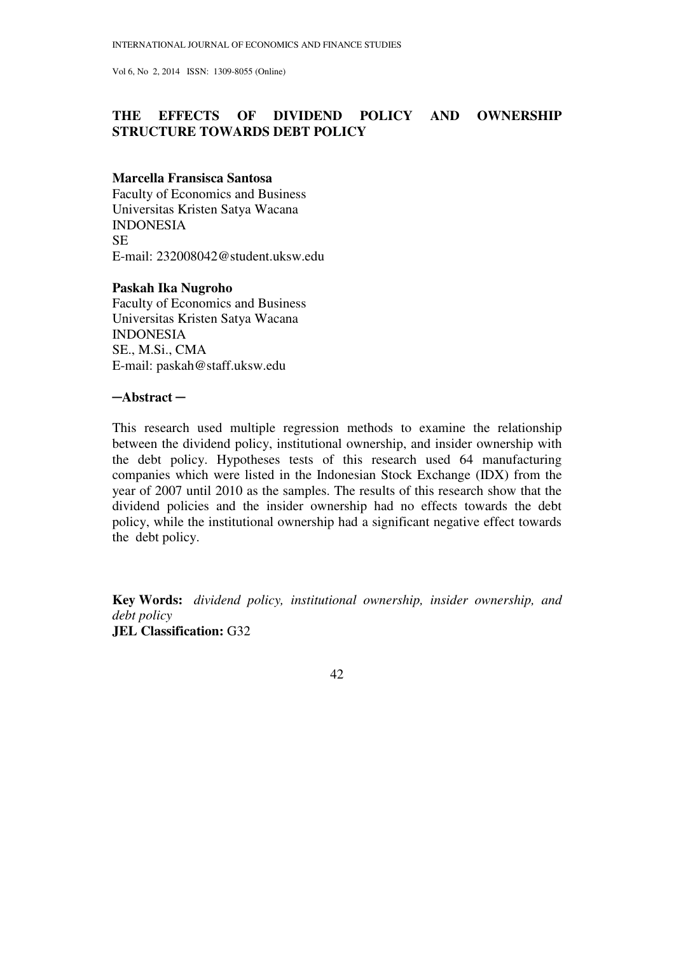# **THE EFFECTS OF DIVIDEND POLICY AND OWNERSHIP STRUCTURE TOWARDS DEBT POLICY**

### **Marcella Fransisca Santosa**

Faculty of Economics and Business Universitas Kristen Satya Wacana INDONESIA SE E-mail: 232008042@student.uksw.edu

### **Paskah Ika Nugroho**

Faculty of Economics and Business Universitas Kristen Satya Wacana INDONESIA SE., M.Si., CMA E-mail: paskah@staff.uksw.edu

#### ─**Abstract** ─

This research used multiple regression methods to examine the relationship between the dividend policy, institutional ownership, and insider ownership with the debt policy. Hypotheses tests of this research used 64 manufacturing companies which were listed in the Indonesian Stock Exchange (IDX) from the year of 2007 until 2010 as the samples. The results of this research show that the dividend policies and the insider ownership had no effects towards the debt policy, while the institutional ownership had a significant negative effect towards the debt policy.

**Key Words:** *dividend policy, institutional ownership, insider ownership, and debt policy*  **JEL Classification:** G32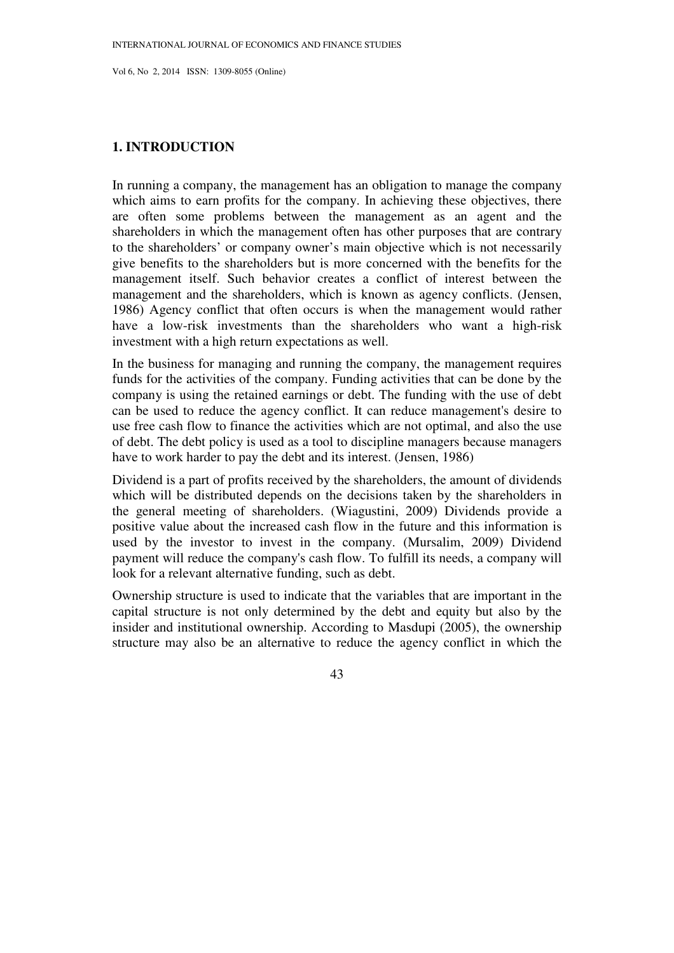# **1. INTRODUCTION**

In running a company, the management has an obligation to manage the company which aims to earn profits for the company. In achieving these objectives, there are often some problems between the management as an agent and the shareholders in which the management often has other purposes that are contrary to the shareholders' or company owner's main objective which is not necessarily give benefits to the shareholders but is more concerned with the benefits for the management itself. Such behavior creates a conflict of interest between the management and the shareholders, which is known as agency conflicts. (Jensen, 1986) Agency conflict that often occurs is when the management would rather have a low-risk investments than the shareholders who want a high-risk investment with a high return expectations as well.

In the business for managing and running the company, the management requires funds for the activities of the company. Funding activities that can be done by the company is using the retained earnings or debt. The funding with the use of debt can be used to reduce the agency conflict. It can reduce management's desire to use free cash flow to finance the activities which are not optimal, and also the use of debt. The debt policy is used as a tool to discipline managers because managers have to work harder to pay the debt and its interest. (Jensen, 1986)

Dividend is a part of profits received by the shareholders, the amount of dividends which will be distributed depends on the decisions taken by the shareholders in the general meeting of shareholders. (Wiagustini, 2009) Dividends provide a positive value about the increased cash flow in the future and this information is used by the investor to invest in the company. (Mursalim, 2009) Dividend payment will reduce the company's cash flow. To fulfill its needs, a company will look for a relevant alternative funding, such as debt.

Ownership structure is used to indicate that the variables that are important in the capital structure is not only determined by the debt and equity but also by the insider and institutional ownership. According to Masdupi (2005), the ownership structure may also be an alternative to reduce the agency conflict in which the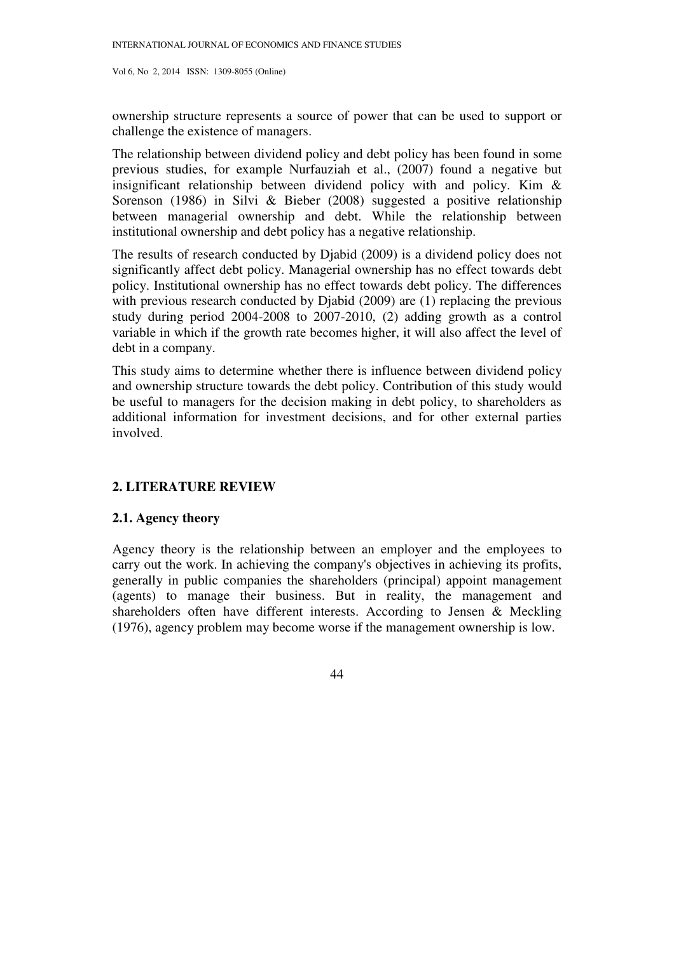ownership structure represents a source of power that can be used to support or challenge the existence of managers.

The relationship between dividend policy and debt policy has been found in some previous studies, for example Nurfauziah et al., (2007) found a negative but insignificant relationship between dividend policy with and policy. Kim  $\&$ Sorenson (1986) in Silvi & Bieber (2008) suggested a positive relationship between managerial ownership and debt. While the relationship between institutional ownership and debt policy has a negative relationship.

The results of research conducted by Djabid (2009) is a dividend policy does not significantly affect debt policy. Managerial ownership has no effect towards debt policy. Institutional ownership has no effect towards debt policy. The differences with previous research conducted by Djabid (2009) are (1) replacing the previous study during period 2004-2008 to 2007-2010, (2) adding growth as a control variable in which if the growth rate becomes higher, it will also affect the level of debt in a company.

This study aims to determine whether there is influence between dividend policy and ownership structure towards the debt policy. Contribution of this study would be useful to managers for the decision making in debt policy, to shareholders as additional information for investment decisions, and for other external parties involved.

# **2. LITERATURE REVIEW**

## **2.1. Agency theory**

Agency theory is the relationship between an employer and the employees to carry out the work. In achieving the company's objectives in achieving its profits, generally in public companies the shareholders (principal) appoint management (agents) to manage their business. But in reality, the management and shareholders often have different interests. According to Jensen & Meckling (1976), agency problem may become worse if the management ownership is low.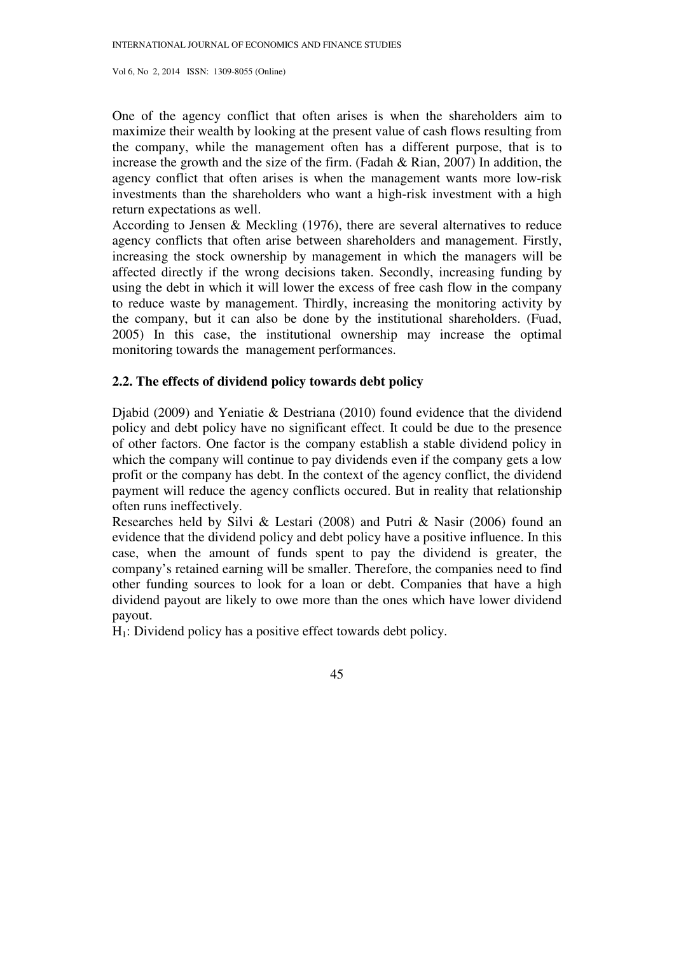One of the agency conflict that often arises is when the shareholders aim to maximize their wealth by looking at the present value of cash flows resulting from the company, while the management often has a different purpose, that is to increase the growth and the size of the firm. (Fadah & Rian, 2007) In addition, the agency conflict that often arises is when the management wants more low-risk investments than the shareholders who want a high-risk investment with a high return expectations as well.

According to Jensen & Meckling (1976), there are several alternatives to reduce agency conflicts that often arise between shareholders and management. Firstly, increasing the stock ownership by management in which the managers will be affected directly if the wrong decisions taken. Secondly, increasing funding by using the debt in which it will lower the excess of free cash flow in the company to reduce waste by management. Thirdly, increasing the monitoring activity by the company, but it can also be done by the institutional shareholders. (Fuad, 2005) In this case, the institutional ownership may increase the optimal monitoring towards the management performances.

# **2.2. The effects of dividend policy towards debt policy**

Djabid (2009) and Yeniatie & Destriana (2010) found evidence that the dividend policy and debt policy have no significant effect. It could be due to the presence of other factors. One factor is the company establish a stable dividend policy in which the company will continue to pay dividends even if the company gets a low profit or the company has debt. In the context of the agency conflict, the dividend payment will reduce the agency conflicts occured. But in reality that relationship often runs ineffectively.

Researches held by Silvi & Lestari (2008) and Putri & Nasir (2006) found an evidence that the dividend policy and debt policy have a positive influence. In this case, when the amount of funds spent to pay the dividend is greater, the company's retained earning will be smaller. Therefore, the companies need to find other funding sources to look for a loan or debt. Companies that have a high dividend payout are likely to owe more than the ones which have lower dividend payout.

H1: Dividend policy has a positive effect towards debt policy.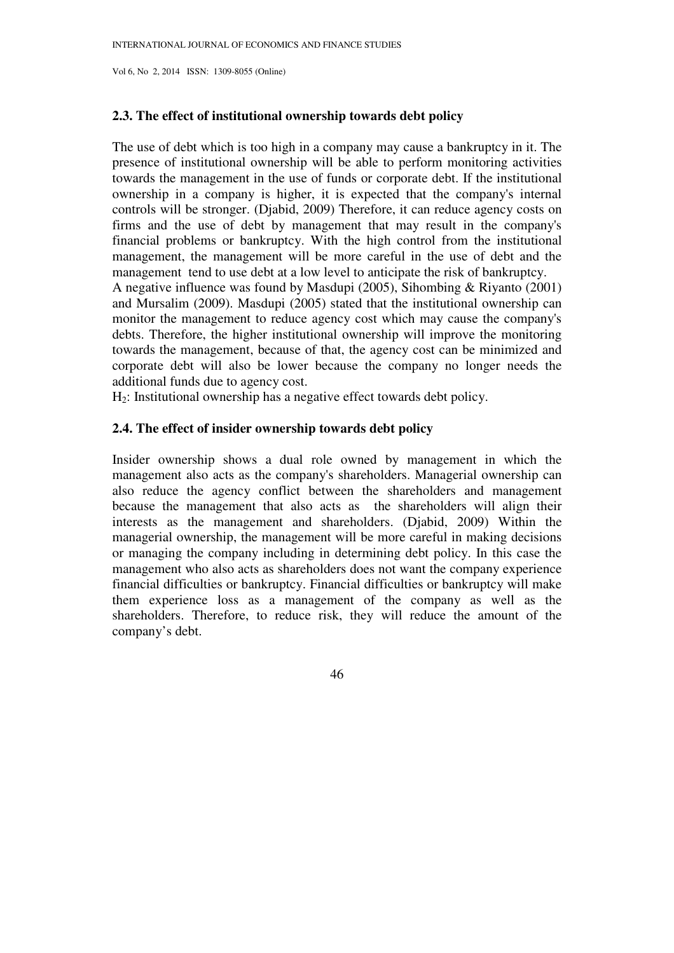# **2.3. The effect of institutional ownership towards debt policy**

The use of debt which is too high in a company may cause a bankruptcy in it. The presence of institutional ownership will be able to perform monitoring activities towards the management in the use of funds or corporate debt. If the institutional ownership in a company is higher, it is expected that the company's internal controls will be stronger. (Djabid, 2009) Therefore, it can reduce agency costs on firms and the use of debt by management that may result in the company's financial problems or bankruptcy. With the high control from the institutional management, the management will be more careful in the use of debt and the management tend to use debt at a low level to anticipate the risk of bankruptcy.

A negative influence was found by Masdupi (2005), Sihombing & Riyanto (2001) and Mursalim (2009). Masdupi (2005) stated that the institutional ownership can monitor the management to reduce agency cost which may cause the company's debts. Therefore, the higher institutional ownership will improve the monitoring towards the management, because of that, the agency cost can be minimized and corporate debt will also be lower because the company no longer needs the additional funds due to agency cost.

H2: Institutional ownership has a negative effect towards debt policy.

# **2.4. The effect of insider ownership towards debt policy**

Insider ownership shows a dual role owned by management in which the management also acts as the company's shareholders. Managerial ownership can also reduce the agency conflict between the shareholders and management because the management that also acts as the shareholders will align their interests as the management and shareholders. (Djabid, 2009) Within the managerial ownership, the management will be more careful in making decisions or managing the company including in determining debt policy. In this case the management who also acts as shareholders does not want the company experience financial difficulties or bankruptcy. Financial difficulties or bankruptcy will make them experience loss as a management of the company as well as the shareholders. Therefore, to reduce risk, they will reduce the amount of the company's debt.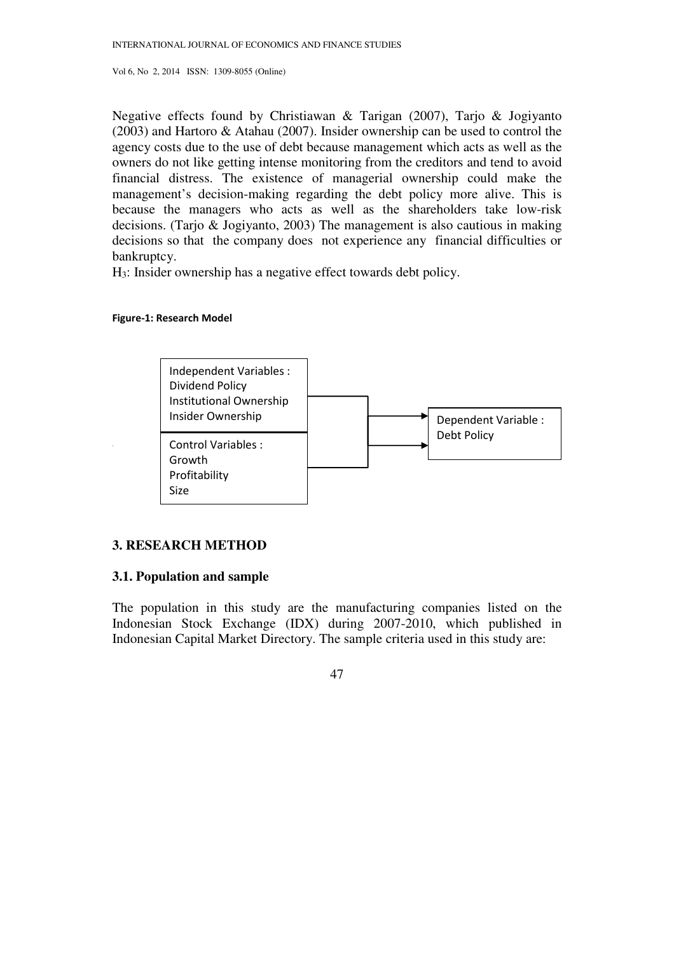Negative effects found by Christiawan & Tarigan (2007), Tarjo & Jogiyanto (2003) and Hartoro & Atahau (2007). Insider ownership can be used to control the agency costs due to the use of debt because management which acts as well as the owners do not like getting intense monitoring from the creditors and tend to avoid financial distress. The existence of managerial ownership could make the management's decision-making regarding the debt policy more alive. This is because the managers who acts as well as the shareholders take low-risk decisions. (Tarjo & Jogiyanto, 2003) The management is also cautious in making decisions so that the company does not experience any financial difficulties or bankruptcy.

H3: Insider ownership has a negative effect towards debt policy.

#### Figure-1: Research Model



## **3. RESEARCH METHOD**

# **3.1. Population and sample**

The population in this study are the manufacturing companies listed on the Indonesian Stock Exchange (IDX) during 2007-2010, which published in Indonesian Capital Market Directory. The sample criteria used in this study are: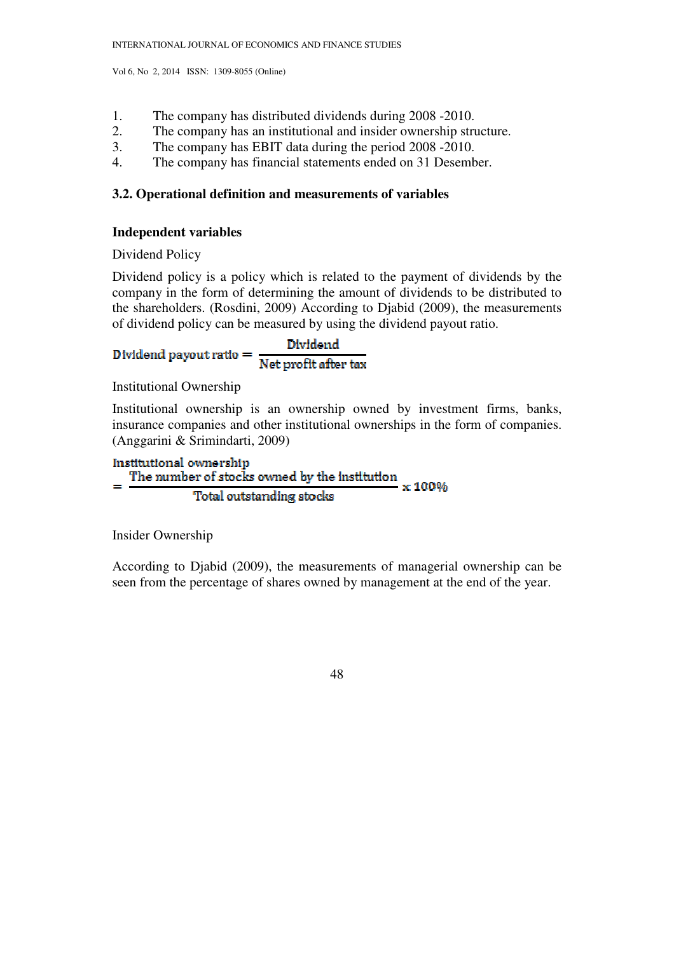- 1. The company has distributed dividends during 2008 -2010.
- 2. The company has an institutional and insider ownership structure.
- 3. The company has EBIT data during the period 2008 -2010.
- 4. The company has financial statements ended on 31 Desember.

# **3.2. Operational definition and measurements of variables**

# **Independent variables**

Dividend Policy

Dividend policy is a policy which is related to the payment of dividends by the company in the form of determining the amount of dividends to be distributed to the shareholders. (Rosdini, 2009) According to Djabid (2009), the measurements of dividend policy can be measured by using the dividend payout ratio.

Dividend payout ratio 
$$
=
$$
  $\frac{Dividend}{Net profit after tax}$ 

Institutional Ownership

Institutional ownership is an ownership owned by investment firms, banks, insurance companies and other institutional ownerships in the form of companies. (Anggarini & Srimindarti, 2009)

Institutional ownership The number of stocks owned by the institution x 100% Total outstanding stocks

Insider Ownership

According to Djabid (2009), the measurements of managerial ownership can be seen from the percentage of shares owned by management at the end of the year.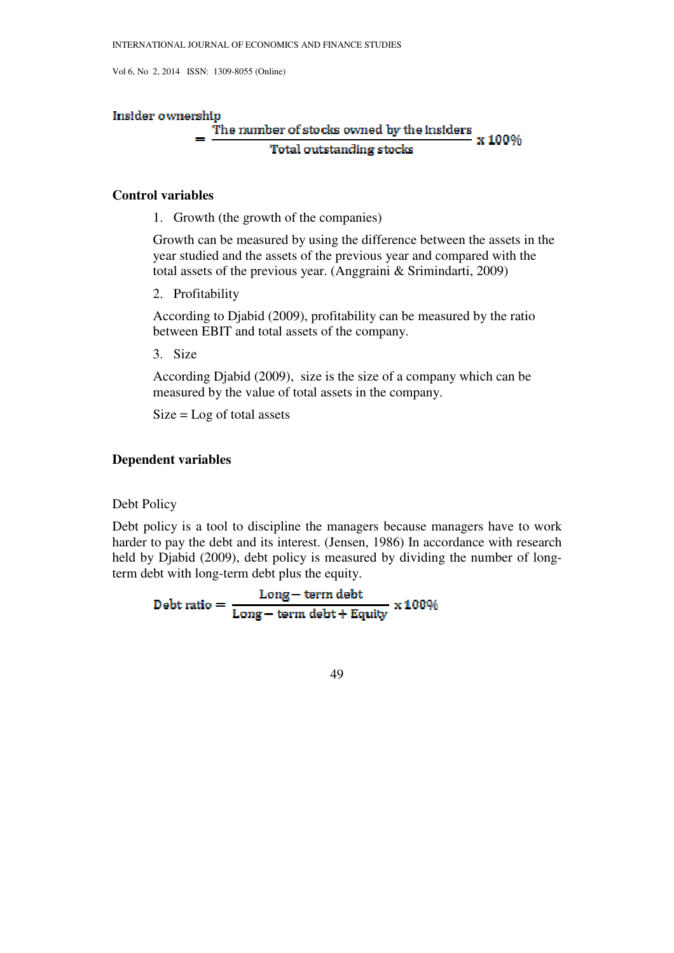#### **Insider ownership**

#### The number of stocks owned by the insiders  $\propto 100\%$ **Total outstanding stocks**

# **Control variables**

1. Growth (the growth of the companies)

Growth can be measured by using the difference between the assets in the year studied and the assets of the previous year and compared with the total assets of the previous year. (Anggraini & Srimindarti, 2009)

2. Profitability

According to Djabid (2009), profitability can be measured by the ratio between EBIT and total assets of the company.

3. Size

According Djabid (2009), size is the size of a company which can be measured by the value of total assets in the company.

 $Size = Log of total assets$ 

### **Dependent variables**

Debt Policy

Debt policy is a tool to discipline the managers because managers have to work harder to pay the debt and its interest. (Jensen, 1986) In accordance with research held by Djabid (2009), debt policy is measured by dividing the number of longterm debt with long-term debt plus the equity.

 $\text{Debt ratio} = \frac{\text{Long}-\text{term debt}}{\text{Long}-\text{term debt}+\text{Equity}} \times 100\%$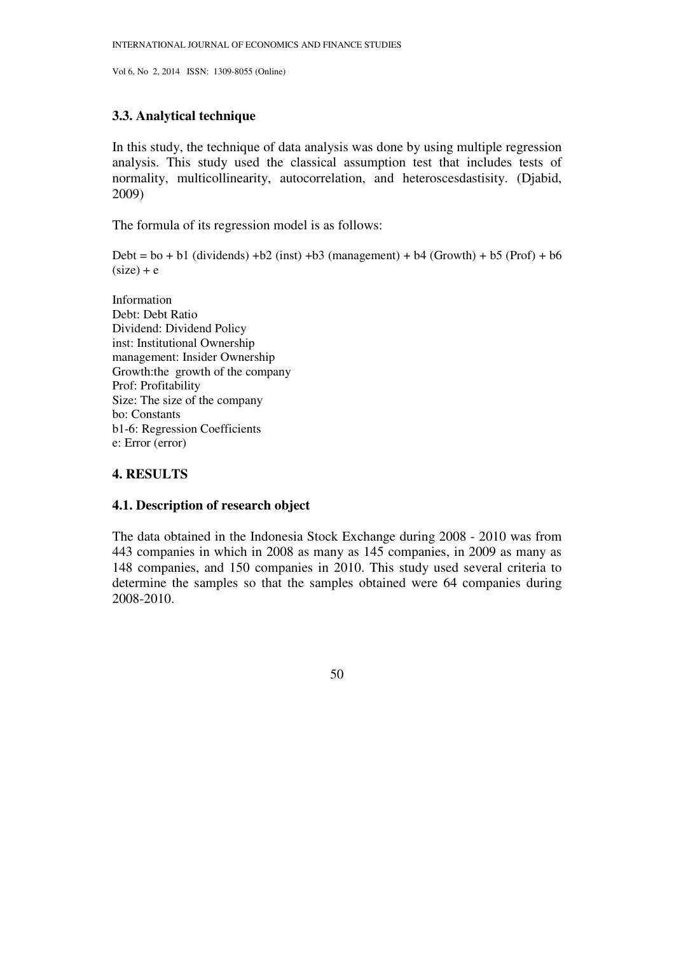# **3.3. Analytical technique**

In this study, the technique of data analysis was done by using multiple regression analysis. This study used the classical assumption test that includes tests of normality, multicollinearity, autocorrelation, and heteroscesdastisity. (Djabid, 2009)

The formula of its regression model is as follows:

Debt =  $bo + b1$  (dividends) + $b2$  (inst) + $b3$  (management) +  $b4$  (Growth) +  $b5$  (Prof) +  $b6$  $(size) + e$ 

Information Debt: Debt Ratio Dividend: Dividend Policy inst: Institutional Ownership management: Insider Ownership Growth:the growth of the company Prof: Profitability Size: The size of the company bo: Constants b1-6: Regression Coefficients e: Error (error)

# **4. RESULTS**

## **4.1. Description of research object**

The data obtained in the Indonesia Stock Exchange during 2008 - 2010 was from 443 companies in which in 2008 as many as 145 companies, in 2009 as many as 148 companies, and 150 companies in 2010. This study used several criteria to determine the samples so that the samples obtained were 64 companies during 2008-2010.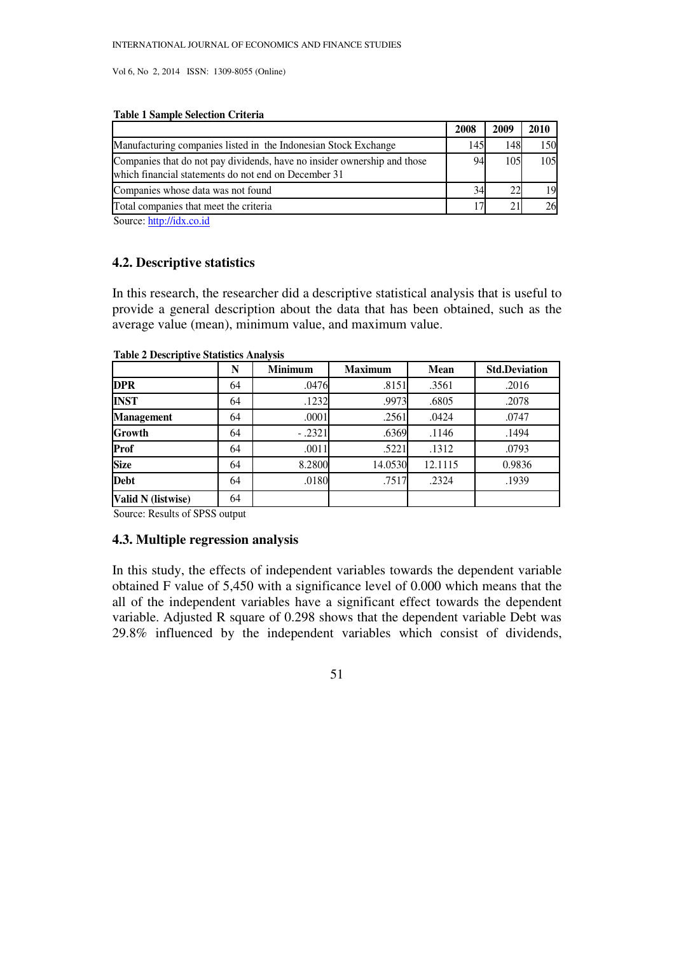#### **Table 1 Sample Selection Criteria**

|                                                                                                                                  | 2008 | 2009 | 2010 |
|----------------------------------------------------------------------------------------------------------------------------------|------|------|------|
| Manufacturing companies listed in the Indonesian Stock Exchange                                                                  | 145  | 148  | 150  |
| Companies that do not pay dividends, have no insider ownership and those<br>which financial statements do not end on December 31 |      | 105  | 105  |
| Companies whose data was not found                                                                                               | 34   | つつ   | 19   |
| Total companies that meet the criteria                                                                                           |      |      |      |

Source: http://idx.co.id

# **4.2. Descriptive statistics**

In this research, the researcher did a descriptive statistical analysis that is useful to provide a general description about the data that has been obtained, such as the average value (mean), minimum value, and maximum value.

|                    | N  | <b>Minimum</b> | <b>Maximum</b> | <b>Mean</b> | <b>Std.Deviation</b> |
|--------------------|----|----------------|----------------|-------------|----------------------|
| <b>DPR</b>         | 64 | .0476          | .8151          | .3561       | .2016                |
| <b>INST</b>        | 64 | .1232          | .9973          | .6805       | .2078                |
| <b>Management</b>  | 64 | .0001          | .2561          | .0424       | .0747                |
| Growth             | 64 | $-.2321$       | .6369          | .1146       | .1494                |
| Prof               | 64 | .0011          | .5221          | .1312       | .0793                |
| <b>Size</b>        | 64 | 8.2800         | 14.0530        | 12.1115     | 0.9836               |
| <b>Debt</b>        | 64 | .0180          | .7517          | .2324       | .1939                |
| Valid N (listwise) | 64 |                |                |             |                      |

#### **Table 2 Descriptive Statistics Analysis**

Source: Results of SPSS output

## **4.3. Multiple regression analysis**

In this study, the effects of independent variables towards the dependent variable obtained F value of 5,450 with a significance level of 0.000 which means that the all of the independent variables have a significant effect towards the dependent variable. Adjusted R square of 0.298 shows that the dependent variable Debt was 29.8% influenced by the independent variables which consist of dividends,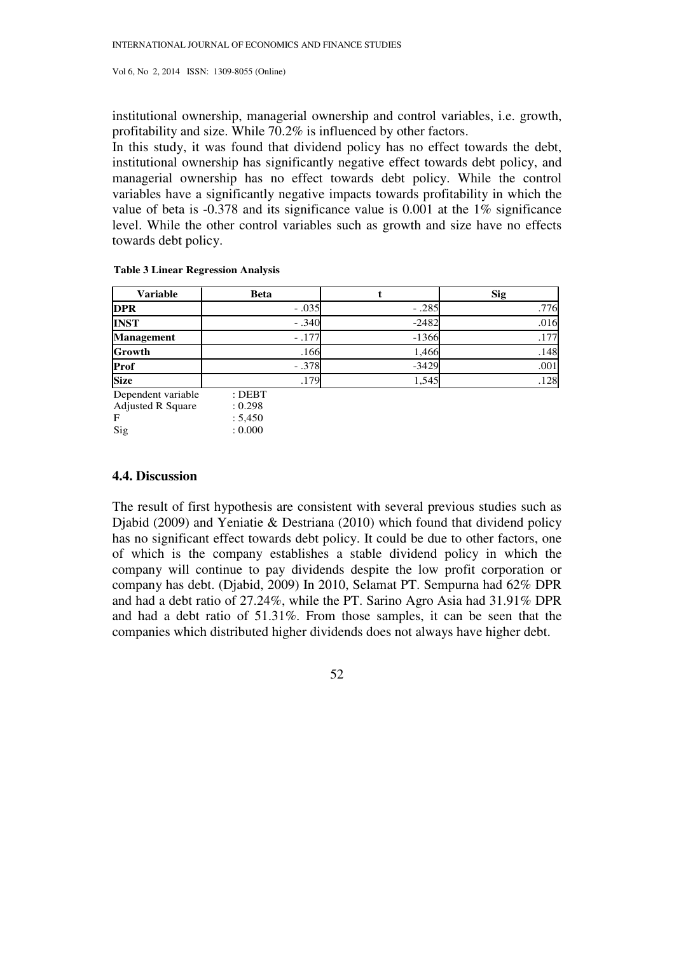institutional ownership, managerial ownership and control variables, i.e. growth, profitability and size. While 70.2% is influenced by other factors.

In this study, it was found that dividend policy has no effect towards the debt, institutional ownership has significantly negative effect towards debt policy, and managerial ownership has no effect towards debt policy. While the control variables have a significantly negative impacts towards profitability in which the value of beta is  $-0.378$  and its significance value is 0.001 at the  $1\%$  significance level. While the other control variables such as growth and size have no effects towards debt policy.

| <b>Variable</b>                                            | <b>Beta</b>                               |         | <b>Sig</b> |
|------------------------------------------------------------|-------------------------------------------|---------|------------|
| <b>DPR</b>                                                 | $-.035$                                   | $-.285$ | .776       |
| <b>INST</b>                                                | $-.340$                                   | $-2482$ | .016       |
| <b>Management</b>                                          | $-.177$                                   | $-1366$ | .177       |
| <b>Growth</b>                                              | .166                                      | 1,466   | .148       |
| Prof                                                       | $-.378$                                   | $-3429$ | .001       |
| <b>Size</b>                                                | .179                                      | 1,545   | .128       |
| Dependent variable<br><b>Adjusted R Square</b><br>F<br>Sig | $:$ DEBT<br>: 0.298<br>: 5,450<br>: 0.000 |         |            |

### **Table 3 Linear Regression Analysis**

#### **4.4. Discussion**

The result of first hypothesis are consistent with several previous studies such as Djabid (2009) and Yeniatie & Destriana (2010) which found that dividend policy has no significant effect towards debt policy. It could be due to other factors, one of which is the company establishes a stable dividend policy in which the company will continue to pay dividends despite the low profit corporation or company has debt. (Djabid, 2009) In 2010, Selamat PT. Sempurna had 62% DPR and had a debt ratio of 27.24%, while the PT. Sarino Agro Asia had 31.91% DPR and had a debt ratio of 51.31%. From those samples, it can be seen that the companies which distributed higher dividends does not always have higher debt.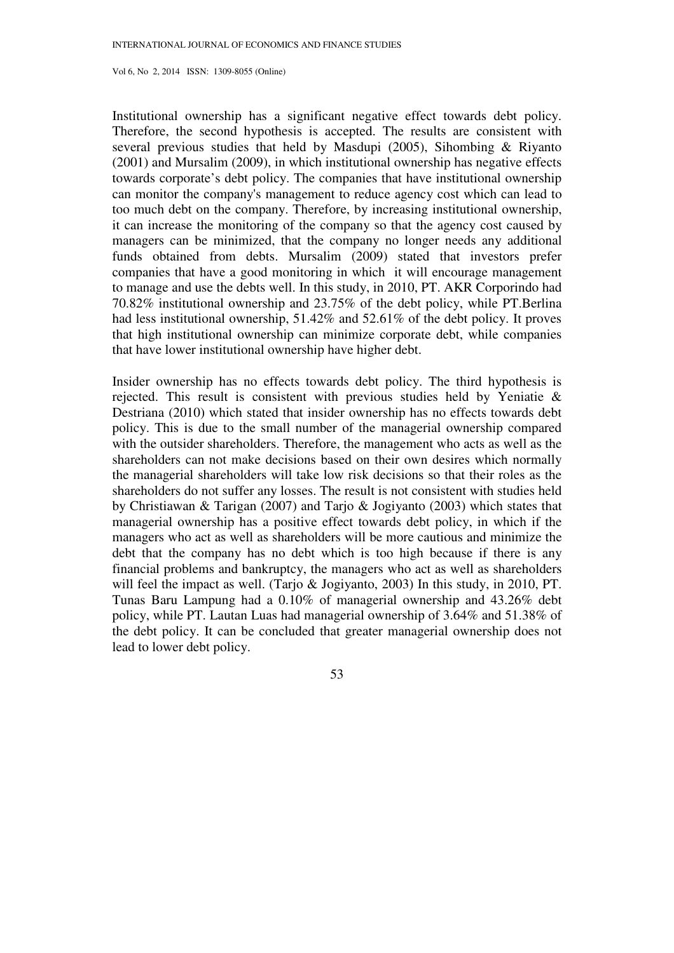Institutional ownership has a significant negative effect towards debt policy. Therefore, the second hypothesis is accepted. The results are consistent with several previous studies that held by Masdupi (2005), Sihombing & Riyanto (2001) and Mursalim (2009), in which institutional ownership has negative effects towards corporate's debt policy. The companies that have institutional ownership can monitor the company's management to reduce agency cost which can lead to too much debt on the company. Therefore, by increasing institutional ownership, it can increase the monitoring of the company so that the agency cost caused by managers can be minimized, that the company no longer needs any additional funds obtained from debts. Mursalim (2009) stated that investors prefer companies that have a good monitoring in which it will encourage management to manage and use the debts well. In this study, in 2010, PT. AKR Corporindo had 70.82% institutional ownership and 23.75% of the debt policy, while PT.Berlina had less institutional ownership, 51.42% and 52.61% of the debt policy. It proves that high institutional ownership can minimize corporate debt, while companies that have lower institutional ownership have higher debt.

Insider ownership has no effects towards debt policy. The third hypothesis is rejected. This result is consistent with previous studies held by Yeniatie & Destriana (2010) which stated that insider ownership has no effects towards debt policy. This is due to the small number of the managerial ownership compared with the outsider shareholders. Therefore, the management who acts as well as the shareholders can not make decisions based on their own desires which normally the managerial shareholders will take low risk decisions so that their roles as the shareholders do not suffer any losses. The result is not consistent with studies held by Christiawan & Tarigan (2007) and Tarjo & Jogiyanto (2003) which states that managerial ownership has a positive effect towards debt policy, in which if the managers who act as well as shareholders will be more cautious and minimize the debt that the company has no debt which is too high because if there is any financial problems and bankruptcy, the managers who act as well as shareholders will feel the impact as well. (Tarjo & Jogiyanto, 2003) In this study, in 2010, PT. Tunas Baru Lampung had a 0.10% of managerial ownership and 43.26% debt policy, while PT. Lautan Luas had managerial ownership of 3.64% and 51.38% of the debt policy. It can be concluded that greater managerial ownership does not lead to lower debt policy.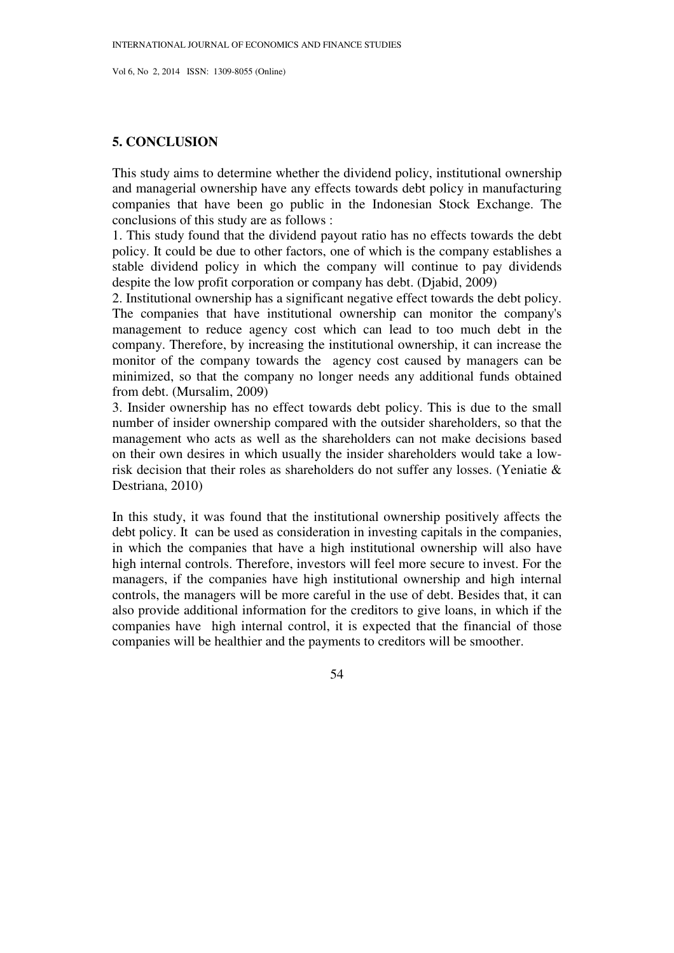#### **5. CONCLUSION**

This study aims to determine whether the dividend policy, institutional ownership and managerial ownership have any effects towards debt policy in manufacturing companies that have been go public in the Indonesian Stock Exchange. The conclusions of this study are as follows :

1. This study found that the dividend payout ratio has no effects towards the debt policy. It could be due to other factors, one of which is the company establishes a stable dividend policy in which the company will continue to pay dividends despite the low profit corporation or company has debt. (Djabid, 2009)

2. Institutional ownership has a significant negative effect towards the debt policy. The companies that have institutional ownership can monitor the company's management to reduce agency cost which can lead to too much debt in the company. Therefore, by increasing the institutional ownership, it can increase the monitor of the company towards the agency cost caused by managers can be minimized, so that the company no longer needs any additional funds obtained from debt. (Mursalim, 2009)

3. Insider ownership has no effect towards debt policy. This is due to the small number of insider ownership compared with the outsider shareholders, so that the management who acts as well as the shareholders can not make decisions based on their own desires in which usually the insider shareholders would take a lowrisk decision that their roles as shareholders do not suffer any losses. (Yeniatie & Destriana, 2010)

In this study, it was found that the institutional ownership positively affects the debt policy. It can be used as consideration in investing capitals in the companies, in which the companies that have a high institutional ownership will also have high internal controls. Therefore, investors will feel more secure to invest. For the managers, if the companies have high institutional ownership and high internal controls, the managers will be more careful in the use of debt. Besides that, it can also provide additional information for the creditors to give loans, in which if the companies have high internal control, it is expected that the financial of those companies will be healthier and the payments to creditors will be smoother.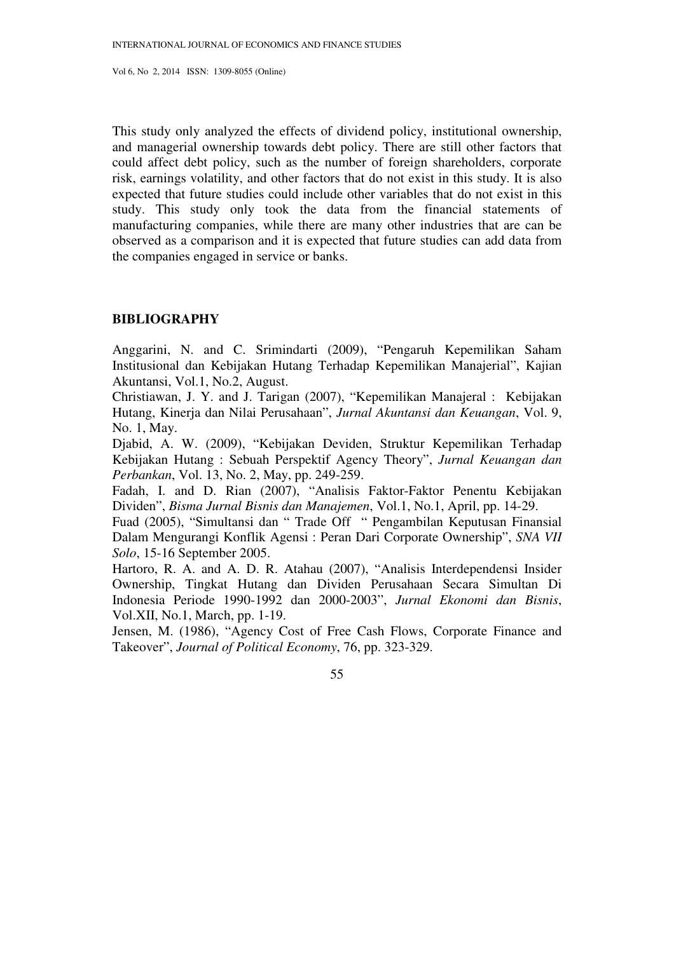This study only analyzed the effects of dividend policy, institutional ownership, and managerial ownership towards debt policy. There are still other factors that could affect debt policy, such as the number of foreign shareholders, corporate risk, earnings volatility, and other factors that do not exist in this study. It is also expected that future studies could include other variables that do not exist in this study. This study only took the data from the financial statements of manufacturing companies, while there are many other industries that are can be observed as a comparison and it is expected that future studies can add data from the companies engaged in service or banks.

## **BIBLIOGRAPHY**

Anggarini, N. and C. Srimindarti (2009), "Pengaruh Kepemilikan Saham Institusional dan Kebijakan Hutang Terhadap Kepemilikan Manajerial", Kajian Akuntansi, Vol.1, No.2, August.

Christiawan, J. Y. and J. Tarigan (2007), "Kepemilikan Manajeral : Kebijakan Hutang, Kinerja dan Nilai Perusahaan", *Jurnal Akuntansi dan Keuangan*, Vol. 9, No. 1, May.

Djabid, A. W. (2009), "Kebijakan Deviden, Struktur Kepemilikan Terhadap Kebijakan Hutang : Sebuah Perspektif Agency Theory", *Jurnal Keuangan dan Perbankan*, Vol. 13, No. 2, May, pp. 249-259.

Fadah, I. and D. Rian (2007), "Analisis Faktor-Faktor Penentu Kebijakan Dividen", *Bisma Jurnal Bisnis dan Manajemen*, Vol.1, No.1, April, pp. 14-29.

Fuad (2005), "Simultansi dan " Trade Off " Pengambilan Keputusan Finansial Dalam Mengurangi Konflik Agensi : Peran Dari Corporate Ownership", *SNA VII Solo*, 15-16 September 2005.

Hartoro, R. A. and A. D. R. Atahau (2007), "Analisis Interdependensi Insider Ownership, Tingkat Hutang dan Dividen Perusahaan Secara Simultan Di Indonesia Periode 1990-1992 dan 2000-2003", *Jurnal Ekonomi dan Bisnis*, Vol.XII, No.1, March, pp. 1-19.

Jensen, M. (1986), "Agency Cost of Free Cash Flows, Corporate Finance and Takeover", *Journal of Political Economy*, 76, pp. 323-329.